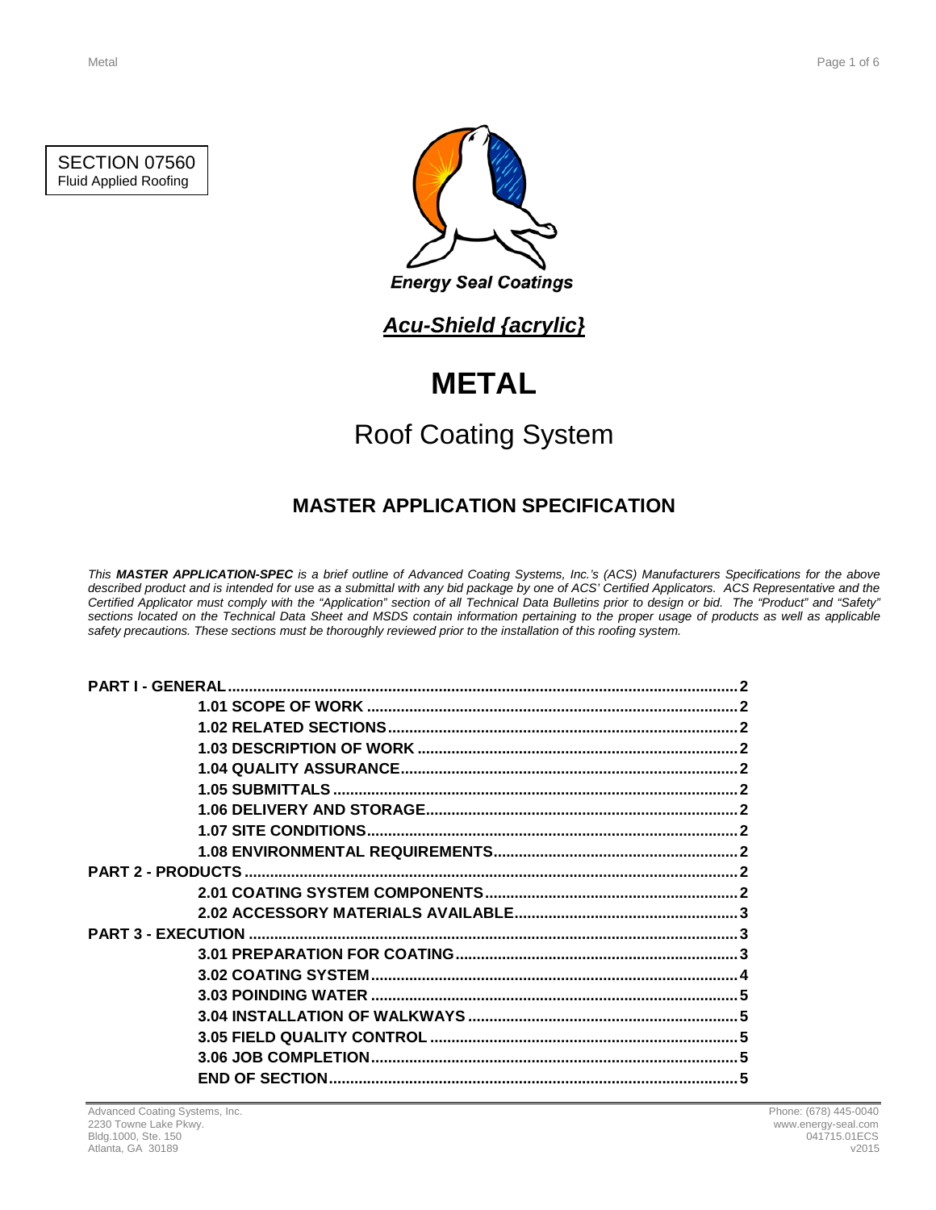



## *Acu-Shield {acrylic}*

# **METAL**

# Roof Coating System

## **MASTER APPLICATION SPECIFICATION**

*This MASTER APPLICATION-SPEC is a brief outline of Advanced Coating Systems, Inc.'s (ACS) Manufacturers Specifications for the above described product and is intended for use as a submittal with any bid package by one of ACS' Certified Applicators. ACS Representative and the Certified Applicator must comply with the "Application" section of all Technical Data Bulletins prior to design or bid. The "Product" and "Safety" sections located on the Technical Data Sheet and MSDS contain information pertaining to the proper usage of products as well as applicable safety precautions. These sections must be thoroughly reviewed prior to the installation of this roofing system.*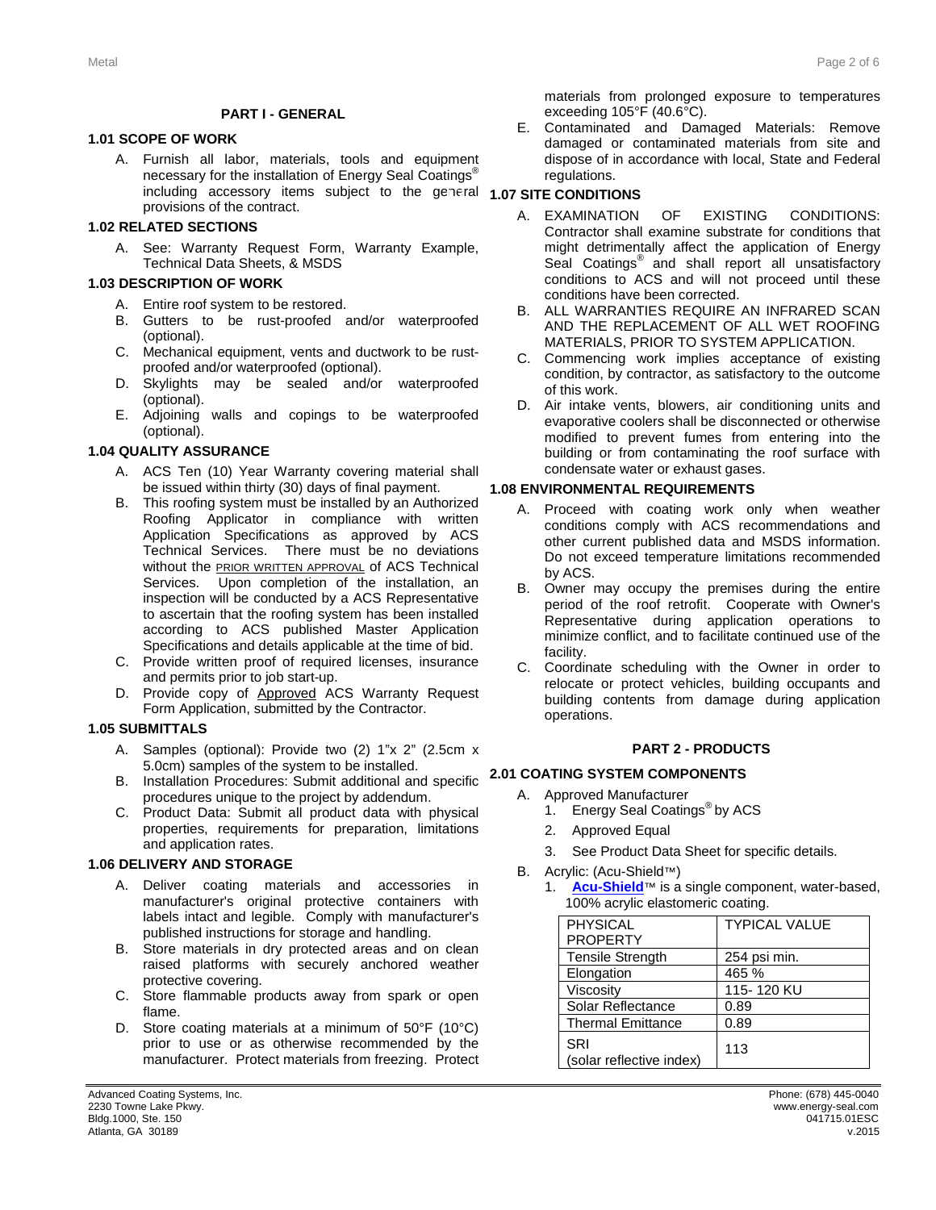#### **PART I - GENERAL**

#### **1.1 1.01 SCOPE OF WORK**

A. Furnish all labor, materials, tools and equipment necessary for the installation of Energy Seal Coatings<sup>®</sup> including accessory items subject to the general **1.07 SITE CONDITIONS** provisions of the contract.

#### **1.2 1.02 RELATED SECTIONS**

A. See: Warranty Request Form, Warranty Example, Technical Data Sheets, & MSDS

#### **1.3 1.03 DESCRIPTION OF WORK**

- A. Entire roof system to be restored.
- B. Gutters to be rust-proofed and/or waterproofed (optional).
- C. Mechanical equipment, vents and ductwork to be rustproofed and/or waterproofed (optional).
- D. Skylights may be sealed and/or waterproofed (optional).
- E. Adjoining walls and copings to be waterproofed (optional).

#### **1.4 1.04 QUALITY ASSURANCE**

- A. ACS Ten (10) Year Warranty covering material shall be issued within thirty (30) days of final payment.
- B. This roofing system must be installed by an Authorized Roofing Applicator in compliance with written Application Specifications as approved by ACS Technical Services. There must be no deviations without the **PRIOR WRITTEN APPROVAL** of ACS Technical Services. Upon completion of the installation, an inspection will be conducted by a ACS Representative to ascertain that the roofing system has been installed according to ACS published Master Application Specifications and details applicable at the time of bid.
- C. Provide written proof of required licenses, insurance and permits prior to job start-up.
- D. Provide copy of Approved ACS Warranty Request Form Application, submitted by the Contractor.

#### **1.5 1.05 SUBMITTALS**

- A. Samples (optional): Provide two (2) 1"x 2" (2.5cm x 5.0cm) samples of the system to be installed.
- B. Installation Procedures: Submit additional and specific **2.1 2.01 COATING SYSTEM COMPONENTS** procedures unique to the project by addendum.
- C. Product Data: Submit all product data with physical properties, requirements for preparation, limitations and application rates.

#### **1.6 1.06 DELIVERY AND STORAGE**

- A. Deliver coating materials and accessories in manufacturer's original protective containers with labels intact and legible. Comply with manufacturer's published instructions for storage and handling.
- B. Store materials in dry protected areas and on clean raised platforms with securely anchored weather protective covering.
- C. Store flammable products away from spark or open flame.
- D. Store coating materials at a minimum of 50°F (10°C) prior to use or as otherwise recommended by the manufacturer. Protect materials from freezing. Protect

materials from prolonged exposure to temperatures exceeding 105°F (40.6°C).

E. Contaminated and Damaged Materials: Remove damaged or contaminated materials from site and dispose of in accordance with local, State and Federal regulations.

- A. EXAMINATION OF EXISTING CONDITIONS: Contractor shall examine substrate for conditions that might detrimentally affect the application of Energy Seal Coatings<sup>®</sup> and shall report all unsatisfactory conditions to ACS and will not proceed until these conditions have been corrected.
- B. ALL WARRANTIES REQUIRE AN INFRARED SCAN AND THE REPLACEMENT OF ALL WET ROOFING MATERIALS, PRIOR TO SYSTEM APPLICATION.
- C. Commencing work implies acceptance of existing condition, by contractor, as satisfactory to the outcome of this work.
- D. Air intake vents, blowers, air conditioning units and evaporative coolers shall be disconnected or otherwise modified to prevent fumes from entering into the building or from contaminating the roof surface with condensate water or exhaust gases.

#### **1.8 1.08 ENVIRONMENTAL REQUIREMENTS**

- A. Proceed with coating work only when weather conditions comply with ACS recommendations and other current published data and MSDS information. Do not exceed temperature limitations recommended by ACS.
- B. Owner may occupy the premises during the entire period of the roof retrofit. Cooperate with Owner's Representative during application operations to minimize conflict, and to facilitate continued use of the facility.
- C. Coordinate scheduling with the Owner in order to relocate or protect vehicles, building occupants and building contents from damage during application operations.

#### **2 PART 2 - PRODUCTS**

- A. Approved Manufacturer
	- 1. Energy Seal Coatings<sup>®</sup> by ACS
	- 2. Approved Equal
	- 3. See Product Data Sheet for specific details.
- B. Acrylic: (Acu-Shield™)
	- [Acu-Shield](http://www.energy-seal.com/UserDyn/ACS/pdfs/acu-shield.pdf)<sup>™</sup> is a single component, water-based, 100% acrylic elastomeric coating.

| <b>PHYSICAL</b>                 | <b>TYPICAL VALUE</b> |
|---------------------------------|----------------------|
| <b>PROPERTY</b>                 |                      |
| <b>Tensile Strength</b>         | 254 psi min.         |
| Elongation                      | 465 %                |
| Viscosity                       | 115-120 KU           |
| Solar Reflectance               | 0.89                 |
| <b>Thermal Emittance</b>        | 0.89                 |
| SRI<br>(solar reflective index) | 113                  |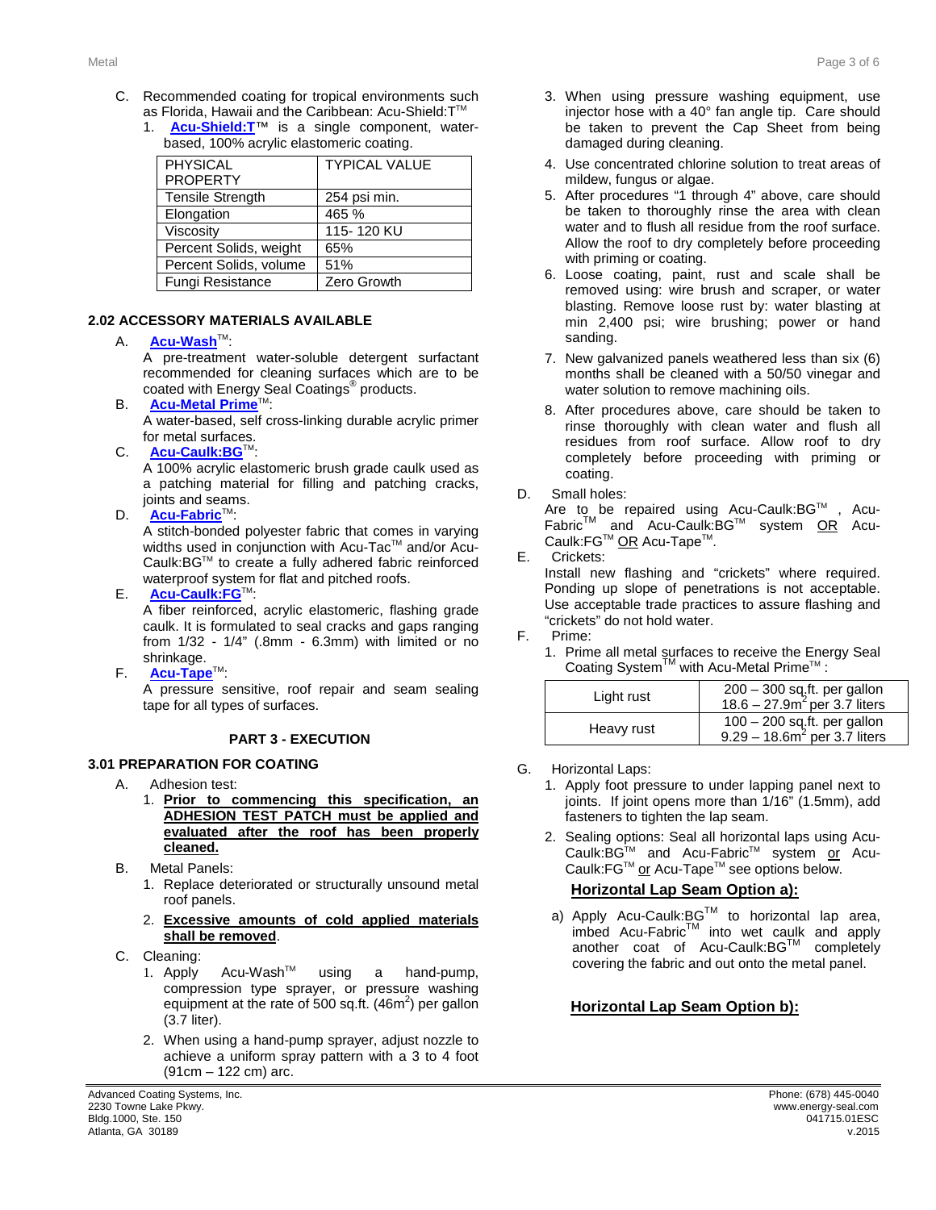- C. Recommended coating for tropical environments such as Florida, Hawaii and the Caribbean: Acu-Shield: T™
	- 1. **[Acu-Shield:T](http://www.energy-seal.com/UserDyn/ACS/pdfs/acu-shield-t.pdf)**™ is a single component, waterbased, 100% acrylic elastomeric coating.

| <b>PHYSICAL</b><br><b>PROPERTY</b> | <b>TYPICAL VALUE</b> |
|------------------------------------|----------------------|
| <b>Tensile Strength</b>            | 254 psi min.         |
| Elongation                         | 465 %                |
| Viscosity                          | 115-120 KU           |
| Percent Solids, weight             | 65%                  |
| Percent Solids, volume             | 51%                  |
| Fungi Resistance                   | Zero Growth          |

#### **2.2 2.02 ACCESSORY MATERIALS AVAILABLE**

#### A. **[Acu-Wash](http://www.energy-seal.com/UserDyn/ACS/pdfs/acu-wash.pdf)™:**

A pre-treatment water-soluble detergent surfactant recommended for cleaning surfaces which are to be coated with Energy Seal Coatings® products.

- **B. [Acu-Metal Prime](http://www.energy-seal.com/UserDyn/ACS/pdfs/acu-metal%20prime.pdf)** A water-based, self cross-linking durable acrylic primer for metal surfaces.
- C. **[Acu-Caulk:BG](http://www.energy-seal.com/UserDyn/ACS/pdfs/acu-caulk_bg.pdf)**T

A 100% acrylic elastomeric brush grade caulk used as a patching material for filling and patching cracks, joints and seams.

D. **[Acu-Fabric](http://www.energy-seal.com/UserDyn/ACS/pdfs/acu-fabric-sb.pdf)**™:

A stitch-bonded polyester fabric that comes in varying widths used in conjunction with Acu-Tac™ and/or Acu-Caulk:BGTM to create a fully adhered fabric reinforced waterproof system for flat and pitched roofs.

E. **[Acu-Caulk:FG](http://www.energy-seal.com/UserDyn/ACS/pdfs/acu-caulk_fg.pdf)**TM:

A fiber reinforced, acrylic elastomeric, flashing grade caulk. It is formulated to seal cracks and gaps ranging from 1/32 - 1/4" (.8mm - 6.3mm) with limited or no shrinkage.

F. **[Acu-Tape](http://www.energy-seal.com/UserDyn/ACS/pdfs/acu-tape.pdf)**TM:

A pressure sensitive, roof repair and seam sealing tape for all types of surfaces.

#### **3 PART 3 - EXECUTION**

### **3.1 3.01 PREPARATION FOR COATING**

- A. Adhesion test:
	- 1. **Prior to commencing this specification, an ADHESION TEST PATCH must be applied and evaluated after the roof has been properly cleaned.**
- B. Metal Panels:
	- 1. Replace deteriorated or structurally unsound metal roof panels.
	- 2. **Excessive amounts of cold applied materials shall be removed**.
- C. Cleaning:
	- 1. Apply Acu-Wash<sup>™</sup> using a hand-pump, compression type sprayer, or pressure washing equipment at the rate of 500 sq.ft.  $(46m^2)$  per gallon (3.7 liter).
	- 2. When using a hand-pump sprayer, adjust nozzle to achieve a uniform spray pattern with a 3 to 4 foot (91cm – 122 cm) arc.
- 3. When using pressure washing equipment, use injector hose with a 40° fan angle tip. Care should be taken to prevent the Cap Sheet from being damaged during cleaning.
- 4. Use concentrated chlorine solution to treat areas of mildew, fungus or algae.
- 5. After procedures "1 through 4" above, care should be taken to thoroughly rinse the area with clean water and to flush all residue from the roof surface. Allow the roof to dry completely before proceeding with priming or coating.
- 6. Loose coating, paint, rust and scale shall be removed using: wire brush and scraper, or water blasting. Remove loose rust by: water blasting at min 2,400 psi; wire brushing; power or hand sanding.
- 7. New galvanized panels weathered less than six (6) months shall be cleaned with a 50/50 vinegar and water solution to remove machining oils.
- 8. After procedures above, care should be taken to rinse thoroughly with clean water and flush all residues from roof surface. Allow roof to dry completely before proceeding with priming or coating.
- D. Small holes:

Are to be repaired using Acu-Caulk:BG™ , Acu-Fabric<sup>™</sup> and Acu-Caulk:BG™ system OR Acu-Caulk:FG™ OR Acu-Tape™.

E. Crickets:

Install new flashing and "crickets" where required. Ponding up slope of penetrations is not acceptable. Use acceptable trade practices to assure flashing and "crickets" do not hold water.

F. Prime:

1. Prime all metal surfaces to receive the Energy Seal Coating System™ with Acu-Metal Prime™ :

| Light rust | 200 - 300 sq.ft. per gallon<br>18.6 – 27.9 $m^2$ per 3.7 liters  |
|------------|------------------------------------------------------------------|
| Heavy rust | $100 - 200$ sq.ft. per gallon<br>$9.29 - 18.6m^2$ per 3.7 liters |

- G. Horizontal Laps:
	- 1. Apply foot pressure to under lapping panel next to joints. If joint opens more than 1/16" (1.5mm), add fasteners to tighten the lap seam.
	- 2. Sealing options: Seal all horizontal laps using Acu-Caulk:BG™ and Acu-Fabric™ system <u>or</u> Acu-Caulk:FG™ or Acu-Tape™ see options below.

### **Horizontal Lap Seam Option a):**

a) Apply Acu-Caulk:BG™ to horizontal lap area, imbed Acu-Fabric™ into wet caulk and apply another coat of Acu-Caulk:BGTM completely covering the fabric and out onto the metal panel.

### **Horizontal Lap Seam Option b):**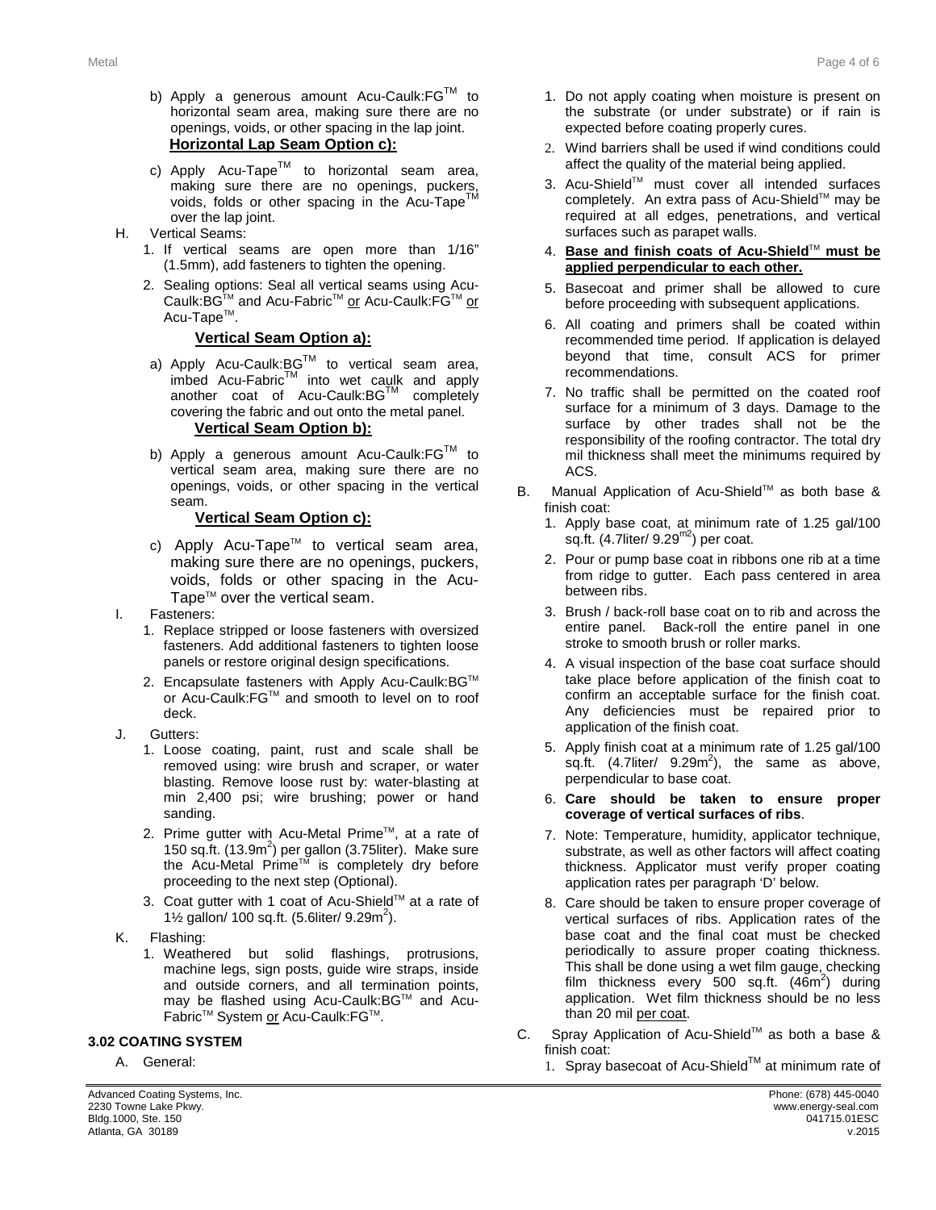- b) Apply a generous amount Acu-Caulk: FG™ to horizontal seam area, making sure there are no openings, voids, or other spacing in the lap joint. **Horizontal Lap Seam Option c):**
- c) Apply Acu-Tape<sup>TM</sup> to horizontal seam area, making sure there are no openings, puckers, voids, folds or other spacing in the Acu-Tape over the lap joint.
- H. Vertical Seams:
	- 1. If vertical seams are open more than 1/16" (1.5mm), add fasteners to tighten the opening.
	- 2. Sealing options: Seal all vertical seams using Acu-Caulk:BG™ and Acu-Fabric™ or Acu-Caulk:FG™ or Acu-Tape<sup>™</sup>.

### **Vertical Seam Option a):**

- a) Apply Acu-Caulk: $BG^{TM}$  to vertical seam area, imbed Acu-Fabric<sup>TM</sup> into wet caulk and apply another coat of Acu-Caulk:BG™ completely covering the fabric and out onto the metal panel. **Vertical Seam Option b):**
- b) Apply a generous amount Acu-Caulk: $FG^{TM}$  to vertical seam area, making sure there are no openings, voids, or other spacing in the vertical seam.

#### **Vertical Seam Option c):**

- c) Apply Acu-Tape™ to vertical seam area, making sure there are no openings, puckers, voids, folds or other spacing in the Acu-Tape<sup>TM</sup> over the vertical seam.
- I. Fasteners:
	- 1. Replace stripped or loose fasteners with oversized fasteners. Add additional fasteners to tighten loose panels or restore original design specifications.
	- 2. Encapsulate fasteners with Apply Acu-Caulk: BG™ or Acu-Caulk:FG™ and smooth to level on to roof deck.
- J. Gutters:
	- 1. Loose coating, paint, rust and scale shall be removed using: wire brush and scraper, or water blasting. Remove loose rust by: water-blasting at min 2,400 psi; wire brushing; power or hand sanding.
	- 2. Prime gutter with Acu-Metal Prime™, at a rate of 150 sq.ft. (13.9m<sup>2</sup>) per gallon (3.75liter). Make sure the Acu-Metal Prime<sup>™</sup> is completely dry before proceeding to the next step (Optional).
	- 3. Coat gutter with 1 coat of Acu-Shield™ at a rate of 1½ gallon/ 100 sq.ft. (5.6liter/  $9.29m^2$ ).
- K. Flashing:
	- 1. Weathered but solid flashings, protrusions, machine legs, sign posts, guide wire straps, inside and outside corners, and all termination points, may be flashed using Acu-Caulk: BG™ and Acu-Fabric<sup>™</sup> System or Acu-Caulk:FG™.

#### **3.2 3.02 COATING SYSTEM**

A. General:

- 1. Do not apply coating when moisture is present on the substrate (or under substrate) or if rain is expected before coating properly cures.
- 2. Wind barriers shall be used if wind conditions could affect the quality of the material being applied.
- 3. Acu-Shield™ must cover all intended surfaces completely. An extra pass of Acu-Shield™ may be required at all edges, penetrations, and vertical surfaces such as parapet walls.
- 4. **Base and finish coats of Acu-Shield**TM **must be applied perpendicular to each other.**
- 5. Basecoat and primer shall be allowed to cure before proceeding with subsequent applications.
- 6. All coating and primers shall be coated within recommended time period. If application is delayed beyond that time, consult ACS for primer recommendations.
- 7. No traffic shall be permitted on the coated roof surface for a minimum of 3 days. Damage to the surface by other trades shall not be the responsibility of the roofing contractor. The total dry mil thickness shall meet the minimums required by ACS.
- B. Manual Application of Acu-Shield™ as both base & finish coat:
	- 1. Apply base coat, at minimum rate of 1.25 gal/100 sq.ft. (4.7liter/ 9.29m2) per coat.
	- 2. Pour or pump base coat in ribbons one rib at a time from ridge to gutter. Each pass centered in area between ribs.
	- 3. Brush / back-roll base coat on to rib and across the entire panel. Back-roll the entire panel in one stroke to smooth brush or roller marks.
	- 4. A visual inspection of the base coat surface should take place before application of the finish coat to confirm an acceptable surface for the finish coat. Any deficiencies must be repaired prior to application of the finish coat.
	- 5. Apply finish coat at a minimum rate of 1.25 gal/100 sq.ft.  $(4.7$ liter/  $9.29m^2$ ), the same as above, perpendicular to base coat.
	- 6. **Care should be taken to ensure proper coverage of vertical surfaces of ribs**.
	- 7. Note: Temperature, humidity, applicator technique, substrate, as well as other factors will affect coating thickness. Applicator must verify proper coating application rates per paragraph 'D' below.
	- 8. Care should be taken to ensure proper coverage of vertical surfaces of ribs. Application rates of the base coat and the final coat must be checked periodically to assure proper coating thickness. This shall be done using a wet film gauge, checking film thickness every 500 sq.ft.  $(46m^2)$  during application. Wet film thickness should be no less than 20 mil per coat.
- C. Spray Application of Acu-Shield™ as both a base & finish coat:
	- 1. Spray basecoat of Acu-Shield™ at minimum rate of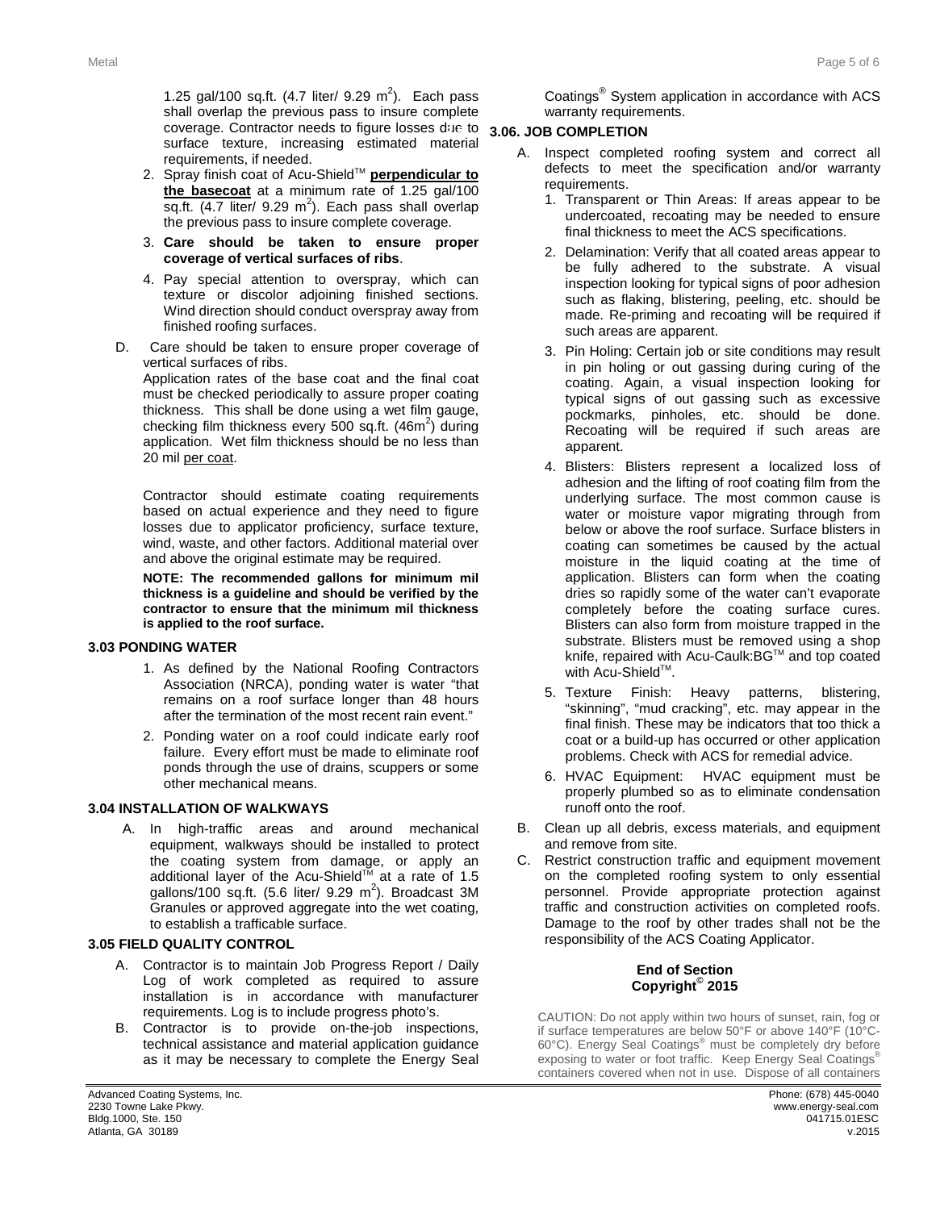1.25 gal/100 sq.ft.  $(4.7 \text{ liter/ } 9.29 \text{ m}^2)$ . Each pass shall overlap the previous pass to insure complete coverage. Contractor needs to figure losses due to **3.5 3.06. JOB COMPLETION** surface texture, increasing estimated material requirements, if needed.

- 2. Spray finish coat of Acu-Shield™ **perpendicular to the basecoat** at a minimum rate of 1.25 gal/100  $\overline{sq}.ft.$  (4.7 liter/ 9.29 m<sup>2</sup>). Each pass shall overlap the previous pass to insure complete coverage.
- 3. **Care should be taken to ensure proper coverage of vertical surfaces of ribs**.
- 4. Pay special attention to overspray, which can texture or discolor adjoining finished sections. Wind direction should conduct overspray away from finished roofing surfaces.
- D. Care should be taken to ensure proper coverage of vertical surfaces of ribs.

Application rates of the base coat and the final coat must be checked periodically to assure proper coating thickness. This shall be done using a wet film gauge, checking film thickness every 500 sq.ft.  $(46m^2)$  during application. Wet film thickness should be no less than 20 mil per coat.

Contractor should estimate coating requirements based on actual experience and they need to figure losses due to applicator proficiency, surface texture, wind, waste, and other factors. Additional material over and above the original estimate may be required.

**NOTE: The recommended gallons for minimum mil thickness is a guideline and should be verified by the contractor to ensure that the minimum mil thickness is applied to the roof surface.** 

#### **3.3 3.03 PONDING WATER**

- 1. As defined by the National Roofing Contractors Association (NRCA), ponding water is water "that remains on a roof surface longer than 48 hours after the termination of the most recent rain event."
- 2. Ponding water on a roof could indicate early roof failure. Every effort must be made to eliminate roof ponds through the use of drains, scuppers or some other mechanical means.

#### **3.04 INSTALLATION OF WALKWAYS**

A. In high-traffic areas and around mechanical equipment, walkways should be installed to protect the coating system from damage, or apply an additional layer of the Acu-Shield<sup>™</sup> at a rate of 1.5 gallons/100 sq.ft.  $(5.6$  liter/ 9.29 m<sup>2</sup>). Broadcast 3M Granules or approved aggregate into the wet coating, to establish a trafficable surface.

#### **3.4 3.05 FIELD QUALITY CONTROL**

- A. Contractor is to maintain Job Progress Report / Daily Log of work completed as required to assure installation is in accordance with manufacturer requirements. Log is to include progress photo's.
- B. Contractor is to provide on-the-job inspections, technical assistance and material application guidance as it may be necessary to complete the Energy Seal

Coatings® System application in accordance with ACS warranty requirements.

- A. Inspect completed roofing system and correct all defects to meet the specification and/or warranty requirements.
	- 1. Transparent or Thin Areas: If areas appear to be undercoated, recoating may be needed to ensure final thickness to meet the ACS specifications.
	- 2. Delamination: Verify that all coated areas appear to be fully adhered to the substrate. A visual inspection looking for typical signs of poor adhesion such as flaking, blistering, peeling, etc. should be made. Re-priming and recoating will be required if such areas are apparent.
	- 3. Pin Holing: Certain job or site conditions may result in pin holing or out gassing during curing of the coating. Again, a visual inspection looking for typical signs of out gassing such as excessive pockmarks, pinholes, etc. should be done. Recoating will be required if such areas are apparent.
	- 4. Blisters: Blisters represent a localized loss of adhesion and the lifting of roof coating film from the underlying surface. The most common cause is water or moisture vapor migrating through from below or above the roof surface. Surface blisters in coating can sometimes be caused by the actual moisture in the liquid coating at the time of application. Blisters can form when the coating dries so rapidly some of the water can't evaporate completely before the coating surface cures. Blisters can also form from moisture trapped in the substrate. Blisters must be removed using a shop knife, repaired with Acu-Caulk:BG™ and top coated with Acu-Shield™.
	- 5. Texture Finish: Heavy patterns, blistering, "skinning", "mud cracking", etc. may appear in the final finish. These may be indicators that too thick a coat or a build-up has occurred or other application problems. Check with ACS for remedial advice.
	- 6. HVAC Equipment: HVAC equipment must be properly plumbed so as to eliminate condensation runoff onto the roof.
- B. Clean up all debris, excess materials, and equipment and remove from site.
- C. Restrict construction traffic and equipment movement on the completed roofing system to only essential personnel. Provide appropriate protection against traffic and construction activities on completed roofs. Damage to the roof by other trades shall not be the responsibility of the ACS Coating Applicator.

#### **End of Section Copyright© 2015**

CAUTION: Do not apply within two hours of sunset, rain, fog or if surface temperatures are below 50°F or above 140°F (10°C-60°C). Energy Seal Coatings® must be completely dry before exposing to water or foot traffic. Keep Energy Seal Coatings® containers covered when not in use. Dispose of all containers